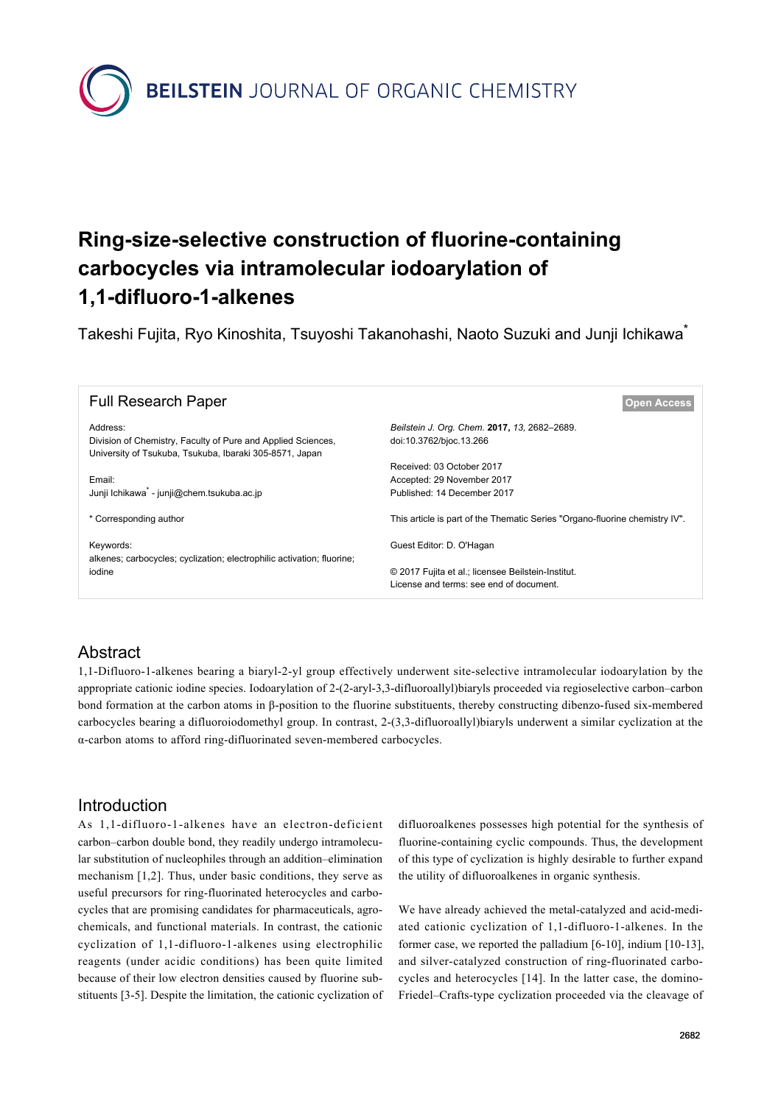**BEILSTEIN** JOURNAL OF ORGANIC CHEMISTRY

# **Ring-size-selective construction of fluorine-containing carbocycles via intramolecular iodoarylation of 1,1-difluoro-1-alkenes**

Takeshi Fujita, Ryo Kinoshita, Tsuyoshi Takanohashi, Naoto Suzuki and Junji Ichikawa\*

| <b>Full Research Paper</b>                                                                                                          | <b>Open Access</b>                                                                            |
|-------------------------------------------------------------------------------------------------------------------------------------|-----------------------------------------------------------------------------------------------|
| Address:<br>Division of Chemistry, Faculty of Pure and Applied Sciences,<br>University of Tsukuba, Tsukuba, Ibaraki 305-8571, Japan | Beilstein J. Org. Chem. 2017, 13, 2682-2689.<br>doi:10.3762/bjoc.13.266                       |
| Email:<br>Junji Ichikawa - junji@chem.tsukuba.ac.jp                                                                                 | Received: 03 October 2017<br>Accepted: 29 November 2017<br>Published: 14 December 2017        |
| * Corresponding author                                                                                                              | This article is part of the Thematic Series "Organo-fluorine chemistry IV".                   |
| Keywords:<br>alkenes; carbocycles; cyclization; electrophilic activation; fluorine;<br>iodine                                       | Guest Editor: D. O'Hagan                                                                      |
|                                                                                                                                     | © 2017 Fujita et al.; licensee Beilstein-Institut.<br>License and terms: see end of document. |

## Abstract

1,1-Difluoro-1-alkenes bearing a biaryl-2-yl group effectively underwent site-selective intramolecular iodoarylation by the appropriate cationic iodine species. Iodoarylation of 2-(2-aryl-3,3-difluoroallyl)biaryls proceeded via regioselective carbon–carbon bond formation at the carbon atoms in β-position to the fluorine substituents, thereby constructing dibenzo-fused six-membered carbocycles bearing a difluoroiodomethyl group. In contrast, 2-(3,3-difluoroallyl)biaryls underwent a similar cyclization at the α-carbon atoms to afford ring-difluorinated seven-membered carbocycles.

#### Introduction

As 1,1-difluoro-1-alkenes have an electron-deficient carbon–carbon double bond, they readily undergo intramolecular substitution of nucleophiles through an addition–elimination mechanism [\[1,2\].](#page-6-0) Thus, under basic conditions, they serve as useful precursors for ring-fluorinated heterocycles and carbocycles that are promising candidates for pharmaceuticals, agrochemicals, and functional materials. In contrast, the cationic cyclization of 1,1-difluoro-1-alkenes using electrophilic reagents (under acidic conditions) has been quite limited because of their low electron densities caused by fluorine substituents [\[3-5\]](#page-6-1). Despite the limitation, the cationic cyclization of difluoroalkenes possesses high potential for the synthesis of fluorine-containing cyclic compounds. Thus, the development of this type of cyclization is highly desirable to further expand the utility of difluoroalkenes in organic synthesis.

We have already achieved the metal-catalyzed and acid-mediated cationic cyclization of 1,1-difluoro-1-alkenes. In the former case, we reported the palladium [\[6-10\]](#page-6-2), indium [\[10-13\]](#page-6-3), and silver-catalyzed construction of ring-fluorinated carbocycles and heterocycles [\[14\]](#page-6-4). In the latter case, the domino-Friedel–Crafts-type cyclization proceeded via the cleavage of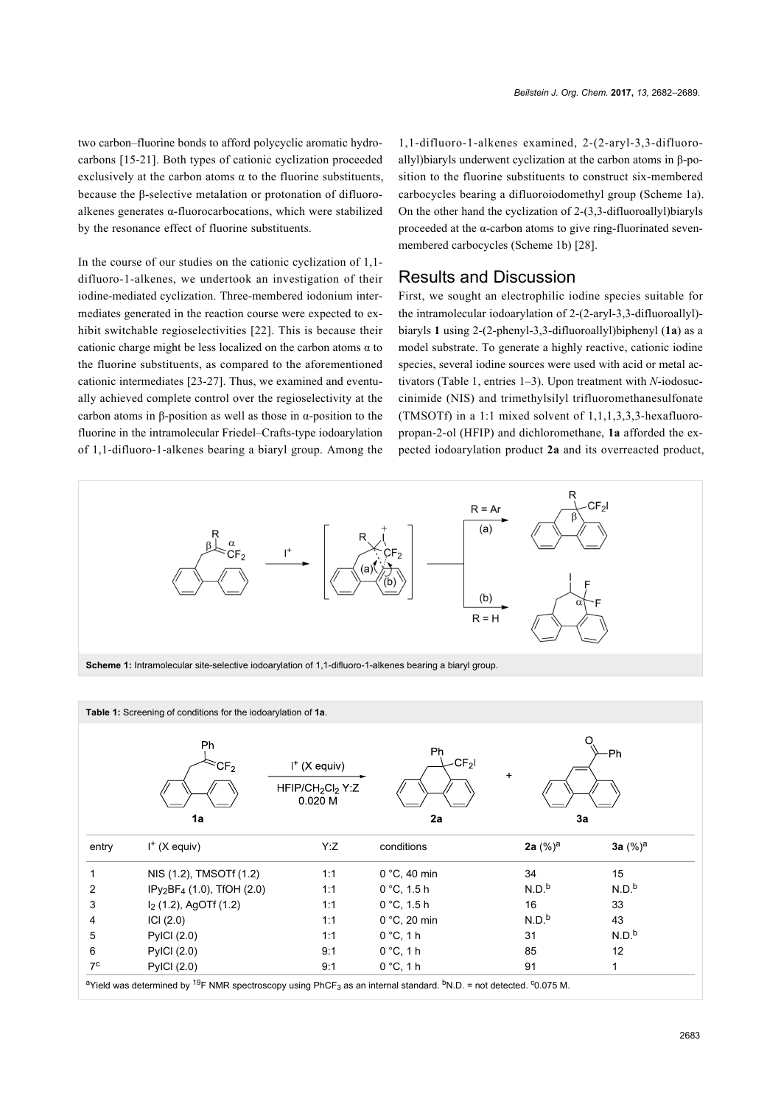two carbon–fluorine bonds to afford polycyclic aromatic hydrocarbons [\[15-21\]](#page-6-5). Both types of cationic cyclization proceeded exclusively at the carbon atoms  $\alpha$  to the fluorine substituents, because the β-selective metalation or protonation of difluoroalkenes generates α-fluorocarbocations, which were stabilized by the resonance effect of fluorine substituents.

In the course of our studies on the cationic cyclization of 1,1 difluoro-1-alkenes, we undertook an investigation of their iodine-mediated cyclization. Three-membered iodonium intermediates generated in the reaction course were expected to exhibit switchable regioselectivities [\[22\].](#page-6-6) This is because their cationic charge might be less localized on the carbon atoms  $\alpha$  to the fluorine substituents, as compared to the aforementioned cationic intermediates [\[23-27\].](#page-6-7) Thus, we examined and eventually achieved complete control over the regioselectivity at the carbon atoms in β-position as well as those in α-position to the fluorine in the intramolecular Friedel–Crafts-type iodoarylation of 1,1-difluoro-1-alkenes bearing a biaryl group. Among the

1,1-difluoro-1-alkenes examined, 2-(2-aryl-3,3-difluoroallyl)biaryls underwent cyclization at the carbon atoms in β-position to the fluorine substituents to construct six-membered carbocycles bearing a difluoroiodomethyl group ([Scheme 1a](#page-1-0)). On the other hand the cyclization of 2-(3,3-difluoroallyl)biaryls proceeded at the  $\alpha$ -carbon atoms to give ring-fluorinated sevenmembered carbocycles [\(Scheme 1b](#page-1-0)) [\[28\]](#page-6-8).

#### Results and Discussion

First, we sought an electrophilic iodine species suitable for the intramolecular iodoarylation of 2-(2-aryl-3,3-difluoroallyl) biaryls **1** using 2-(2-phenyl-3,3-difluoroallyl)biphenyl (**1a**) as a model substrate. To generate a highly reactive, cationic iodine species, several iodine sources were used with acid or metal activators [\(Table 1](#page-1-1), entries 1–3). Upon treatment with *N*-iodosuccinimide (NIS) and trimethylsilyl trifluoromethanesulfonate (TMSOTf) in a 1:1 mixed solvent of 1,1,1,3,3,3-hexafluoropropan-2-ol (HFIP) and dichloromethane, **1a** afforded the expected iodoarylation product **2a** and its overreacted product,

<span id="page-1-0"></span>

<span id="page-1-1"></span>

|       | Table 1: Screening of conditions for the iodoarylation of 1a. |                                                                        |                             |                   |                   |
|-------|---------------------------------------------------------------|------------------------------------------------------------------------|-----------------------------|-------------------|-------------------|
|       | Ph<br>$\mathsf{CF}_2$<br>1a                                   | $I^*$ (X equiv)<br>HFIP/CH <sub>2</sub> Cl <sub>2</sub> Y:Z<br>0.020 M | Ph<br>CF <sub>2</sub><br>2a | $\ddot{}$<br>3a   | O<br>Ph           |
| entry | $I^+(X)$ equiv)                                               | Y:Z                                                                    | conditions                  | 2a $(\%)^a$       | 3a $(\%)^a$       |
|       | NIS (1.2), TMSOTf (1.2)                                       | 1:1                                                                    | $0 °C$ , 40 min             | 34                | 15                |
| 2     | $IPy_2BF_4$ (1.0), TfOH (2.0)                                 | 1:1                                                                    | $0 °C$ , 1.5 h              | N.D <sup>b</sup>  | N.D. <sup>b</sup> |
| 3     | $I2$ (1.2), AgOTf (1.2)                                       | 1:1                                                                    | $0 °C$ , 1.5 h              | 16                | 33                |
| 4     | ICI (2.0)                                                     | 1:1                                                                    | $0 °C$ , 20 min             | N.D. <sup>b</sup> | 43                |
| 5     | <b>PyICI (2.0)</b>                                            | 1:1                                                                    | $0^{\circ}$ C, 1 h          | 31                | N.D. <sup>b</sup> |
| 6     | <b>PyICI (2.0)</b>                                            | 9:1                                                                    | $0^{\circ}$ C, 1 h          | 85                | 12                |
|       |                                                               |                                                                        |                             |                   |                   |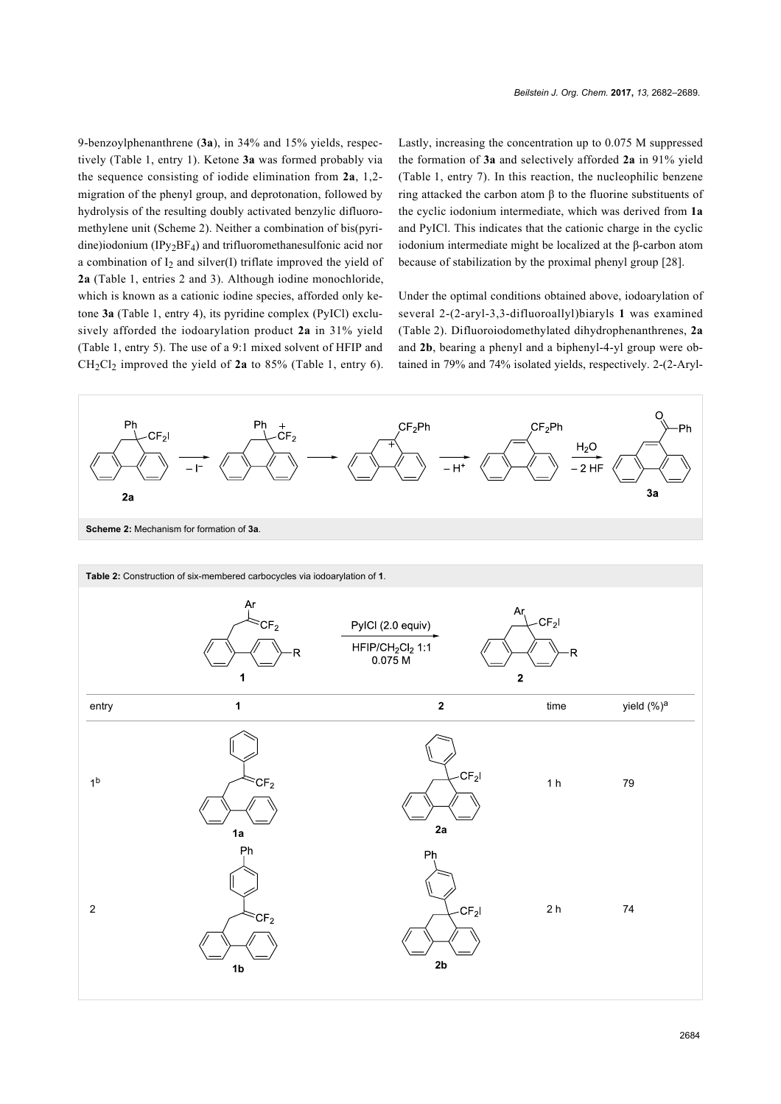9-benzoylphenanthrene (**3a**), in 34% and 15% yields, respectively ([Table 1](#page-1-1), entry 1). Ketone **3a** was formed probably via the sequence consisting of iodide elimination from **2a**, 1,2 migration of the phenyl group, and deprotonation, followed by hydrolysis of the resulting doubly activated benzylic difluoromethylene unit [\(Scheme 2](#page-2-0)). Neither a combination of bis(pyridine)iodonium (IPy2BF4) and trifluoromethanesulfonic acid nor a combination of  $I_2$  and silver(I) triflate improved the yield of **2a** ([Table 1](#page-1-1), entries 2 and 3). Although iodine monochloride, which is known as a cationic iodine species, afforded only ketone **3a** ([Table 1](#page-1-1), entry 4), its pyridine complex (PyICl) exclusively afforded the iodoarylation product **2a** in 31% yield ([Table 1](#page-1-1), entry 5). The use of a 9:1 mixed solvent of HFIP and CH2Cl2 improved the yield of **2a** to 85% [\(Table 1](#page-1-1), entry 6). Lastly, increasing the concentration up to 0.075 M suppressed the formation of **3a** and selectively afforded **2a** in 91% yield ([Table 1](#page-1-1), entry 7). In this reaction, the nucleophilic benzene ring attacked the carbon atom β to the fluorine substituents of the cyclic iodonium intermediate, which was derived from **1a** and PyICl. This indicates that the cationic charge in the cyclic iodonium intermediate might be localized at the β-carbon atom because of stabilization by the proximal phenyl group [\[28\]](#page-6-8).

Under the optimal conditions obtained above, iodoarylation of several 2-(2-aryl-3,3-difluoroallyl)biaryls **1** was examined ([Table 2](#page-2-1)). Difluoroiodomethylated dihydrophenanthrenes, **2a** and **2b**, bearing a phenyl and a biphenyl-4-yl group were obtained in 79% and 74% isolated yields, respectively. 2-(2-Aryl-

<span id="page-2-0"></span>

<span id="page-2-1"></span>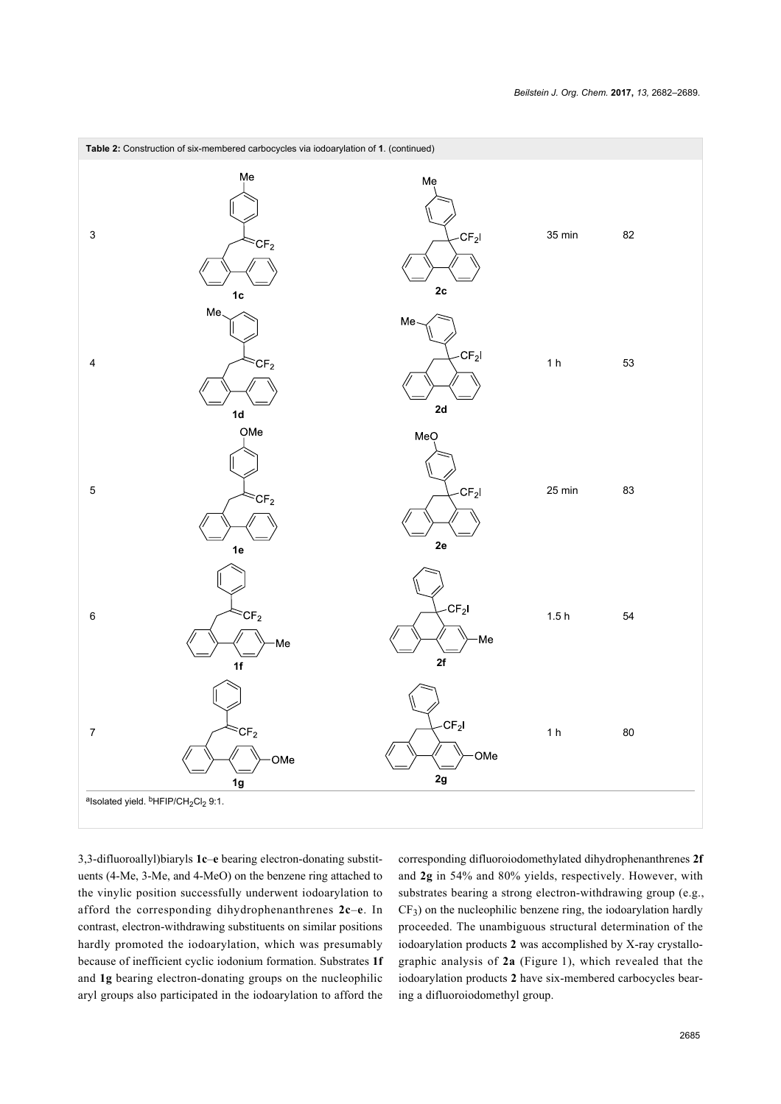

3,3-difluoroallyl)biaryls **1c**–**e** bearing electron-donating substituents (4-Me, 3-Me, and 4-MeO) on the benzene ring attached to the vinylic position successfully underwent iodoarylation to afford the corresponding dihydrophenanthrenes **2c**–**e**. In contrast, electron-withdrawing substituents on similar positions hardly promoted the iodoarylation, which was presumably because of inefficient cyclic iodonium formation. Substrates **1f** and **1g** bearing electron-donating groups on the nucleophilic aryl groups also participated in the iodoarylation to afford the

corresponding difluoroiodomethylated dihydrophenanthrenes **2f** and **2g** in 54% and 80% yields, respectively. However, with substrates bearing a strong electron-withdrawing group (e.g., CF<sup>3</sup> ) on the nucleophilic benzene ring, the iodoarylation hardly proceeded. The unambiguous structural determination of the iodoarylation products **2** was accomplished by X-ray crystallographic analysis of **2a** ([Figure 1](#page-4-0)), which revealed that the iodoarylation products **2** have six-membered carbocycles bearing a difluoroiodomethyl group.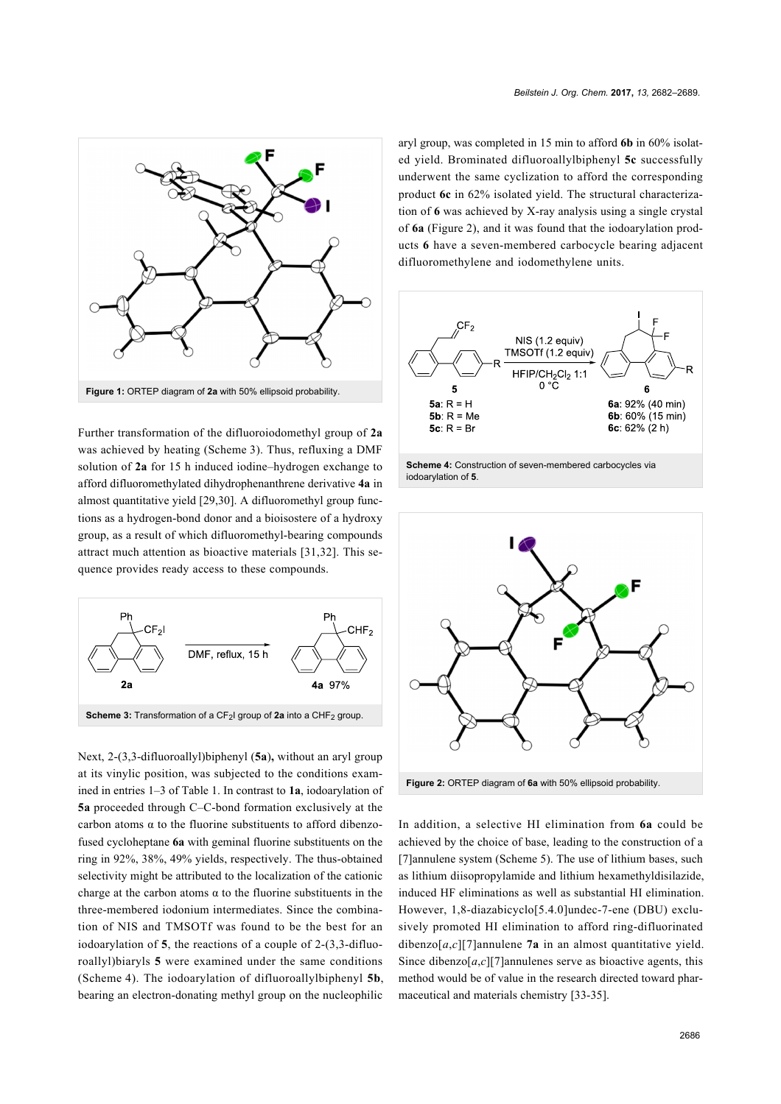<span id="page-4-0"></span>

Further transformation of the difluoroiodomethyl group of **2a** was achieved by heating ([Scheme 3](#page-4-1)). Thus, refluxing a DMF solution of **2a** for 15 h induced iodine–hydrogen exchange to afford difluoromethylated dihydrophenanthrene derivative **4a** in almost quantitative yield [\[29,30\]](#page-6-9). A difluoromethyl group functions as a hydrogen-bond donor and a bioisostere of a hydroxy group, as a result of which difluoromethyl-bearing compounds attract much attention as bioactive materials [\[31,32\]](#page-6-10). This sequence provides ready access to these compounds.

<span id="page-4-1"></span>

Next, 2-(3,3-difluoroallyl)biphenyl (**5a**)**,** without an aryl group at its vinylic position, was subjected to the conditions examined in entries 1–3 of [Table 1.](#page-1-1) In contrast to **1a**, iodoarylation of **5a** proceeded through C–C-bond formation exclusively at the carbon atoms  $\alpha$  to the fluorine substituents to afford dibenzofused cycloheptane **6a** with geminal fluorine substituents on the ring in 92%, 38%, 49% yields, respectively. The thus-obtained selectivity might be attributed to the localization of the cationic charge at the carbon atoms  $\alpha$  to the fluorine substituents in the three-membered iodonium intermediates. Since the combination of NIS and TMSOTf was found to be the best for an iodoarylation of **5**, the reactions of a couple of 2-(3,3-difluoroallyl)biaryls **5** were examined under the same conditions ([Scheme 4](#page-4-2)). The iodoarylation of difluoroallylbiphenyl **5b**, bearing an electron-donating methyl group on the nucleophilic

aryl group, was completed in 15 min to afford **6b** in 60% isolated yield. Brominated difluoroallylbiphenyl **5c** successfully underwent the same cyclization to afford the corresponding product **6c** in 62% isolated yield. The structural characterization of **6** was achieved by X-ray analysis using a single crystal of **6a** ([Figure 2](#page-4-3)), and it was found that the iodoarylation products **6** have a seven-membered carbocycle bearing adjacent difluoromethylene and iodomethylene units.

<span id="page-4-2"></span>

<span id="page-4-3"></span>

In addition, a selective HI elimination from **6a** could be achieved by the choice of base, leading to the construction of a [7]annulene system ([Scheme 5](#page-5-0)). The use of lithium bases, such as lithium diisopropylamide and lithium hexamethyldisilazide, induced HF eliminations as well as substantial HI elimination. However, 1,8-diazabicyclo[5.4.0]undec-7-ene (DBU) exclusively promoted HI elimination to afford ring-difluorinated dibenzo $[a, c]$ [7]annulene **7a** in an almost quantitative yield. Since dibenzo $[a,c][7]$ annulenes serve as bioactive agents, this method would be of value in the research directed toward pharmaceutical and materials chemistry [\[33-35\]](#page-6-11).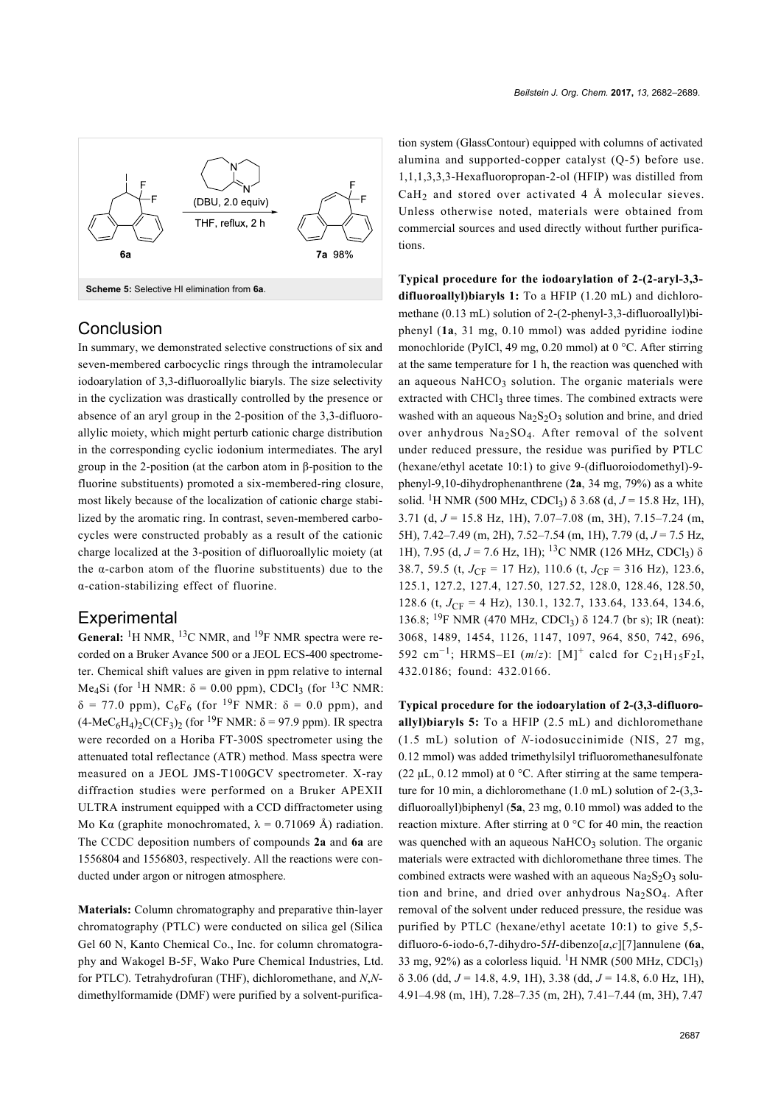<span id="page-5-0"></span>

#### **Conclusion**

In summary, we demonstrated selective constructions of six and seven-membered carbocyclic rings through the intramolecular iodoarylation of 3,3-difluoroallylic biaryls. The size selectivity in the cyclization was drastically controlled by the presence or absence of an aryl group in the 2-position of the 3,3-difluoroallylic moiety, which might perturb cationic charge distribution in the corresponding cyclic iodonium intermediates. The aryl group in the 2-position (at the carbon atom in β-position to the fluorine substituents) promoted a six-membered-ring closure, most likely because of the localization of cationic charge stabilized by the aromatic ring. In contrast, seven-membered carbocycles were constructed probably as a result of the cationic charge localized at the 3-position of difluoroallylic moiety (at the  $\alpha$ -carbon atom of the fluorine substituents) due to the α-cation-stabilizing effect of fluorine.

#### **Experimental**

General: <sup>1</sup>H NMR, <sup>13</sup>C NMR, and <sup>19</sup>F NMR spectra were recorded on a Bruker Avance 500 or a JEOL ECS-400 spectrometer. Chemical shift values are given in ppm relative to internal Me<sub>4</sub>Si (for <sup>1</sup>H NMR:  $\delta$  = 0.00 ppm), CDCl<sub>3</sub> (for <sup>13</sup>C NMR:  $\delta$  = 77.0 ppm), C<sub>6</sub>F<sub>6</sub> (for <sup>19</sup>F NMR:  $\delta$  = 0.0 ppm), and  $(4-MeC_6H_4)_2C(CF_3)_2$  (for <sup>19</sup>F NMR:  $\delta$  = 97.9 ppm). IR spectra were recorded on a Horiba FT-300S spectrometer using the attenuated total reflectance (ATR) method. Mass spectra were measured on a JEOL JMS-T100GCV spectrometer. X-ray diffraction studies were performed on a Bruker APEXII ULTRA instrument equipped with a CCD diffractometer using Mo K $\alpha$  (graphite monochromated,  $\lambda = 0.71069$  Å) radiation. The CCDC deposition numbers of compounds **2a** and **6a** are 1556804 and 1556803, respectively. All the reactions were conducted under argon or nitrogen atmosphere.

**Materials:** Column chromatography and preparative thin-layer chromatography (PTLC) were conducted on silica gel (Silica Gel 60 N, Kanto Chemical Co., Inc. for column chromatography and Wakogel B-5F, Wako Pure Chemical Industries, Ltd. for PTLC). Tetrahydrofuran (THF), dichloromethane, and *N*,*N*dimethylformamide (DMF) were purified by a solvent-purification system (GlassContour) equipped with columns of activated alumina and supported-copper catalyst (Q-5) before use. 1,1,1,3,3,3-Hexafluoropropan-2-ol (HFIP) was distilled from  $CaH<sub>2</sub>$  and stored over activated 4 Å molecular sieves. Unless otherwise noted, materials were obtained from commercial sources and used directly without further purifications.

**Typical procedure for the iodoarylation of 2-(2-aryl-3,3 difluoroallyl)biaryls 1:** To a HFIP (1.20 mL) and dichloromethane (0.13 mL) solution of 2-(2-phenyl-3,3-difluoroallyl)biphenyl (**1a**, 31 mg, 0.10 mmol) was added pyridine iodine monochloride (PyICl, 49 mg, 0.20 mmol) at 0 °C. After stirring at the same temperature for 1 h, the reaction was quenched with an aqueous  $NAHCO<sub>3</sub>$  solution. The organic materials were extracted with CHCl<sub>3</sub> three times. The combined extracts were washed with an aqueous  $Na<sub>2</sub>S<sub>2</sub>O<sub>3</sub>$  solution and brine, and dried over anhydrous  $Na<sub>2</sub>SO<sub>4</sub>$ . After removal of the solvent under reduced pressure, the residue was purified by PTLC (hexane/ethyl acetate 10:1) to give 9-(difluoroiodomethyl)-9 phenyl-9,10-dihydrophenanthrene (**2a**, 34 mg, 79%) as a white solid. <sup>1</sup>H NMR (500 MHz, CDCl<sub>3</sub>)  $\delta$  3.68 (d,  $J = 15.8$  Hz, 1H), 3.71 (d, *J* = 15.8 Hz, 1H), 7.07–7.08 (m, 3H), 7.15–7.24 (m, 5H), 7.42–7.49 (m, 2H), 7.52–7.54 (m, 1H), 7.79 (d, *J* = 7.5 Hz, 1H), 7.95 (d, *J* = 7.6 Hz, 1H); <sup>13</sup>C NMR (126 MHz, CDCl<sub>3</sub>) δ 38.7, 59.5 (t,  $J_{\text{CF}} = 17 \text{ Hz}$ ), 110.6 (t,  $J_{\text{CF}} = 316 \text{ Hz}$ ), 123.6, 125.1, 127.2, 127.4, 127.50, 127.52, 128.0, 128.46, 128.50, 128.6 (t, *J*<sub>CF</sub> = 4 Hz), 130.1, 132.7, 133.64, 133.64, 134.6, 136.8; <sup>19</sup>F NMR (470 MHz, CDCl<sub>3</sub>) δ 124.7 (br s); IR (neat): 3068, 1489, 1454, 1126, 1147, 1097, 964, 850, 742, 696, 592 cm<sup>-1</sup>; HRMS–EI (*m*/*z*): [M]<sup>+</sup> calcd for C<sub>21</sub>H<sub>15</sub>F<sub>2</sub>I, 432.0186; found: 432.0166.

**Typical procedure for the iodoarylation of 2-(3,3-difluoroallyl)biaryls 5:** To a HFIP (2.5 mL) and dichloromethane (1.5 mL) solution of *N*-iodosuccinimide (NIS, 27 mg, 0.12 mmol) was added trimethylsilyl trifluoromethanesulfonate (22  $\mu$ L, 0.12 mmol) at 0 °C. After stirring at the same temperature for 10 min, a dichloromethane (1.0 mL) solution of 2-(3,3 difluoroallyl)biphenyl (**5a**, 23 mg, 0.10 mmol) was added to the reaction mixture. After stirring at 0 °C for 40 min, the reaction was quenched with an aqueous NaHCO<sub>3</sub> solution. The organic materials were extracted with dichloromethane three times. The combined extracts were washed with an aqueous  $Na<sub>2</sub>S<sub>2</sub>O<sub>3</sub>$  solution and brine, and dried over anhydrous Na2SO<sup>4</sup> . After removal of the solvent under reduced pressure, the residue was purified by PTLC (hexane/ethyl acetate 10:1) to give 5,5 difluoro-6-iodo-6,7-dihydro-5*H*-dibenzo[*a*,*c*][7]annulene (**6a**, 33 mg, 92%) as a colorless liquid. <sup>1</sup>H NMR (500 MHz, CDCl<sub>3</sub>) δ 3.06 (dd, *J* = 14.8, 4.9, 1H), 3.38 (dd, *J* = 14.8, 6.0 Hz, 1H), 4.91–4.98 (m, 1H), 7.28–7.35 (m, 2H), 7.41–7.44 (m, 3H), 7.47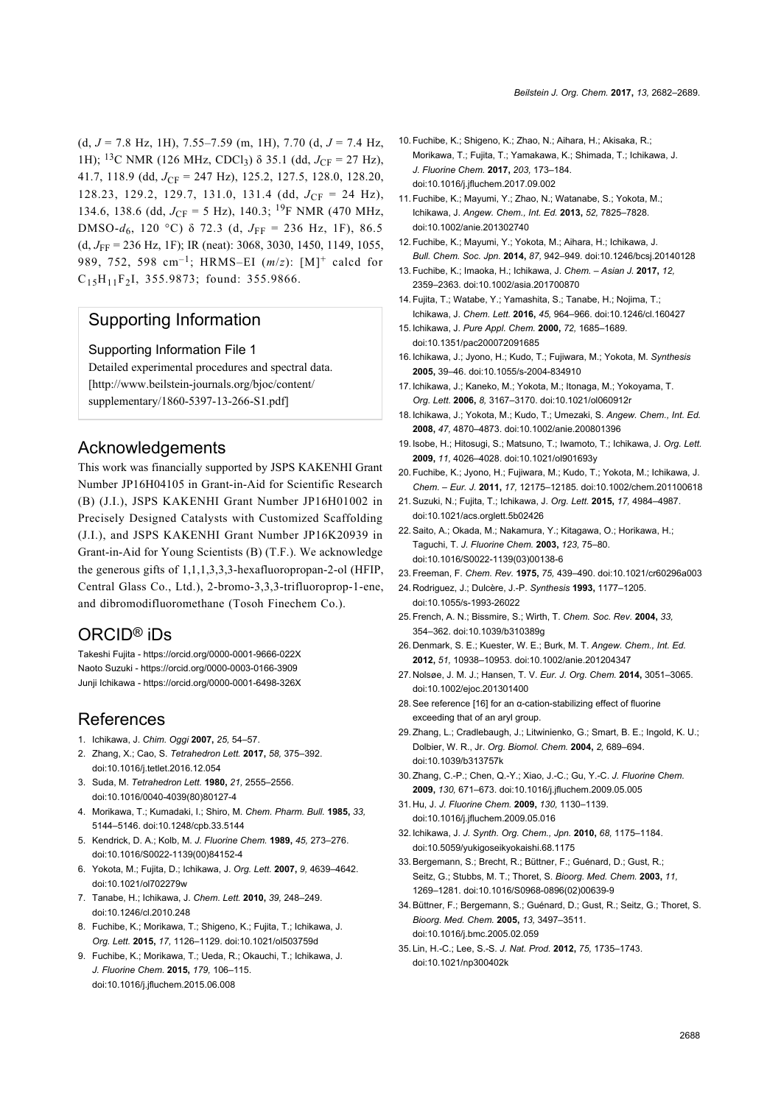(d, *J* = 7.8 Hz, 1H), 7.55–7.59 (m, 1H), 7.70 (d, *J* = 7.4 Hz, 1H); <sup>13</sup>C NMR (126 MHz, CDCl<sub>3</sub>)  $\delta$  35.1 (dd,  $J_{CF} = 27$  Hz), 41.7, 118.9 (dd, *J*<sub>CF</sub> = 247 Hz), 125.2, 127.5, 128.0, 128.20, 128.23, 129.2, 129.7, 131.0, 131.4 (dd,  $J_{\text{CF}} = 24 \text{ Hz}$ ), 134.6, 138.6 (dd,  $J_{\text{CF}}$  = 5 Hz), 140.3; <sup>19</sup>F NMR (470 MHz, DMSO- $d_6$ , 120 °C) δ 72.3 (d,  $J_{\text{FF}}$  = 236 Hz, 1F), 86.5 (d, *J*FF = 236 Hz, 1F); IR (neat): 3068, 3030, 1450, 1149, 1055, 989, 752, 598 cm–1; HRMS–EI (*m*/*z*): [M]<sup>+</sup> calcd for  $C_{15}H_{11}F_{2}I$ , 355.9873; found: 355.9866.

#### Supporting Information

#### Supporting Information File 1

Detailed experimental procedures and spectral data. [\[http://www.beilstein-journals.org/bjoc/content/](http://www.beilstein-journals.org/bjoc/content/supplementary/1860-5397-13-266-S1.pdf) [supplementary/1860-5397-13-266-S1.pdf\]](http://www.beilstein-journals.org/bjoc/content/supplementary/1860-5397-13-266-S1.pdf)

# Acknowledgements

This work was financially supported by JSPS KAKENHI Grant Number JP16H04105 in Grant-in-Aid for Scientific Research (B) (J.I.), JSPS KAKENHI Grant Number JP16H01002 in Precisely Designed Catalysts with Customized Scaffolding (J.I.), and JSPS KAKENHI Grant Number JP16K20939 in Grant-in-Aid for Young Scientists (B) (T.F.). We acknowledge the generous gifts of 1,1,1,3,3,3-hexafluoropropan-2-ol (HFIP, Central Glass Co., Ltd.), 2-bromo-3,3,3-trifluoroprop-1-ene, and dibromodifluoromethane (Tosoh Finechem Co.).

## ORCID® iDs

Takeshi Fujita -<https://orcid.org/0000-0001-9666-022X> Naoto Suzuki -<https://orcid.org/0000-0003-0166-3909> Junji Ichikawa -<https://orcid.org/0000-0001-6498-326X>

# **References**

- <span id="page-6-0"></span>1. Ichikawa, J. *Chim. Oggi* **2007,** *25,* 54–57.
- 2. Zhang, X.; Cao, S. *Tetrahedron Lett.* **2017,** *58,* 375–392. [doi:10.1016/j.tetlet.2016.12.054](https://doi.org/10.1016%2Fj.tetlet.2016.12.054)
- <span id="page-6-1"></span>3. Suda, M. *Tetrahedron Lett.* **1980,** *21,* 2555–2556. [doi:10.1016/0040-4039\(80\)80127-4](https://doi.org/10.1016%2F0040-4039%2880%2980127-4)
- 4. Morikawa, T.; Kumadaki, I.; Shiro, M. *Chem. Pharm. Bull.* **1985,** *33,* 5144–5146. [doi:10.1248/cpb.33.5144](https://doi.org/10.1248%2Fcpb.33.5144)
- 5. Kendrick, D. A.; Kolb, M. *J. Fluorine Chem.* **1989,** *45,* 273–276. [doi:10.1016/S0022-1139\(00\)84152-4](https://doi.org/10.1016%2FS0022-1139%2800%2984152-4)
- <span id="page-6-2"></span>6. Yokota, M.; Fujita, D.; Ichikawa, J. *Org. Lett.* **2007,** *9,* 4639–4642. [doi:10.1021/ol702279w](https://doi.org/10.1021%2Fol702279w)
- 7. Tanabe, H.; Ichikawa, J. *Chem. Lett.* **2010,** *39,* 248–249. [doi:10.1246/cl.2010.248](https://doi.org/10.1246%2Fcl.2010.248)
- 8. Fuchibe, K.; Morikawa, T.; Shigeno, K.; Fujita, T.; Ichikawa, J. *Org. Lett.* **2015,** *17,* 1126–1129. [doi:10.1021/ol503759d](https://doi.org/10.1021%2Fol503759d)
- 9. Fuchibe, K.; Morikawa, T.; Ueda, R.; Okauchi, T.; Ichikawa, J. *J. Fluorine Chem.* **2015,** *179,* 106–115. [doi:10.1016/j.jfluchem.2015.06.008](https://doi.org/10.1016%2Fj.jfluchem.2015.06.008)
- <span id="page-6-3"></span>10.Fuchibe, K.; Shigeno, K.; Zhao, N.; Aihara, H.; Akisaka, R.; Morikawa, T.; Fujita, T.; Yamakawa, K.; Shimada, T.; Ichikawa, J. *J. Fluorine Chem.* **2017,** *203,* 173–184. [doi:10.1016/j.jfluchem.2017.09.002](https://doi.org/10.1016%2Fj.jfluchem.2017.09.002)
- 11.Fuchibe, K.; Mayumi, Y.; Zhao, N.; Watanabe, S.; Yokota, M.; Ichikawa, J. *Angew. Chem., Int. Ed.* **2013,** *52,* 7825–7828. [doi:10.1002/anie.201302740](https://doi.org/10.1002%2Fanie.201302740)
- 12.Fuchibe, K.; Mayumi, Y.; Yokota, M.; Aihara, H.; Ichikawa, J. *Bull. Chem. Soc. Jpn.* **2014,** *87,* 942–949. [doi:10.1246/bcsj.20140128](https://doi.org/10.1246%2Fbcsj.20140128)
- 13.Fuchibe, K.; Imaoka, H.; Ichikawa, J. *Chem. Asian J.* **2017,** *12,* 2359–2363. [doi:10.1002/asia.201700870](https://doi.org/10.1002%2Fasia.201700870)
- <span id="page-6-4"></span>14.Fujita, T.; Watabe, Y.; Yamashita, S.; Tanabe, H.; Nojima, T.; Ichikawa, J. *Chem. Lett.* **2016,** *45,* 964–966. [doi:10.1246/cl.160427](https://doi.org/10.1246%2Fcl.160427)
- <span id="page-6-5"></span>15. Ichikawa, J. *Pure Appl. Chem.* **2000,** *72,* 1685–1689. [doi:10.1351/pac200072091685](https://doi.org/10.1351%2Fpac200072091685)
- <span id="page-6-12"></span>16. Ichikawa, J.; Jyono, H.; Kudo, T.; Fujiwara, M.; Yokota, M. *Synthesis* **2005,** 39–46. [doi:10.1055/s-2004-834910](https://doi.org/10.1055%2Fs-2004-834910)
- 17. Ichikawa, J.; Kaneko, M.; Yokota, M.; Itonaga, M.; Yokoyama, T. *Org. Lett.* **2006,** *8,* 3167–3170. [doi:10.1021/ol060912r](https://doi.org/10.1021%2Fol060912r)
- 18. Ichikawa, J.; Yokota, M.; Kudo, T.; Umezaki, S. *Angew. Chem., Int. Ed.* **2008,** *47,* 4870–4873. [doi:10.1002/anie.200801396](https://doi.org/10.1002%2Fanie.200801396)
- 19. Isobe, H.; Hitosugi, S.; Matsuno, T.; Iwamoto, T.; Ichikawa, J. *Org. Lett.* **2009,** *11,* 4026–4028. [doi:10.1021/ol901693y](https://doi.org/10.1021%2Fol901693y)
- 20.Fuchibe, K.; Jyono, H.; Fujiwara, M.; Kudo, T.; Yokota, M.; Ichikawa, J. *Chem. – Eur. J.* **2011,** *17,* 12175–12185. [doi:10.1002/chem.201100618](https://doi.org/10.1002%2Fchem.201100618)
- 21.Suzuki, N.; Fujita, T.; Ichikawa, J. *Org. Lett.* **2015,** *17,* 4984–4987. [doi:10.1021/acs.orglett.5b02426](https://doi.org/10.1021%2Facs.orglett.5b02426)
- <span id="page-6-6"></span>22.Saito, A.; Okada, M.; Nakamura, Y.; Kitagawa, O.; Horikawa, H.; Taguchi, T. *J. Fluorine Chem.* **2003,** *123,* 75–80. [doi:10.1016/S0022-1139\(03\)00138-6](https://doi.org/10.1016%2FS0022-1139%2803%2900138-6)
- <span id="page-6-7"></span>23.Freeman, F. *Chem. Rev.* **1975,** *75,* 439–490. [doi:10.1021/cr60296a003](https://doi.org/10.1021%2Fcr60296a003)
- 24. Rodriguez, J.; Dulcère, J.-P. *Synthesis* **1993,** 1177–1205. [doi:10.1055/s-1993-26022](https://doi.org/10.1055%2Fs-1993-26022)
- 25.French, A. N.; Bissmire, S.; Wirth, T. *Chem. Soc. Rev.* **2004,** *33,* 354–362. [doi:10.1039/b310389g](https://doi.org/10.1039%2Fb310389g)
- 26. Denmark, S. E.; Kuester, W. E.; Burk, M. T. *Angew. Chem., Int. Ed.* **2012,** *51,* 10938–10953. [doi:10.1002/anie.201204347](https://doi.org/10.1002%2Fanie.201204347)
- 27. Nolsøe, J. M. J.; Hansen, T. V. *Eur. J. Org. Chem.* **2014,** 3051–3065. [doi:10.1002/ejoc.201301400](https://doi.org/10.1002%2Fejoc.201301400)
- <span id="page-6-8"></span>28.See reference [\[16\]](#page-6-12) for an α-cation-stabilizing effect of fluorine exceeding that of an aryl group.
- <span id="page-6-9"></span>29.Zhang, L.; Cradlebaugh, J.; Litwinienko, G.; Smart, B. E.; Ingold, K. U.; Dolbier, W. R., Jr. *Org. Biomol. Chem.* **2004,** *2,* 689–694. [doi:10.1039/b313757k](https://doi.org/10.1039%2Fb313757k)
- 30.Zhang, C.-P.; Chen, Q.-Y.; Xiao, J.-C.; Gu, Y.-C. *J. Fluorine Chem.* **2009,** *130,* 671–673. [doi:10.1016/j.jfluchem.2009.05.005](https://doi.org/10.1016%2Fj.jfluchem.2009.05.005)
- <span id="page-6-10"></span>31. Hu, J. *J. Fluorine Chem.* **2009,** *130,* 1130–1139. [doi:10.1016/j.jfluchem.2009.05.016](https://doi.org/10.1016%2Fj.jfluchem.2009.05.016)
- 32. Ichikawa, J. *J. Synth. Org. Chem., Jpn.* **2010,** *68,* 1175–1184. [doi:10.5059/yukigoseikyokaishi.68.1175](https://doi.org/10.5059%2Fyukigoseikyokaishi.68.1175)
- <span id="page-6-11"></span>33.Bergemann, S.; Brecht, R.; Büttner, F.; Guénard, D.; Gust, R.; Seitz, G.; Stubbs, M. T.; Thoret, S. *Bioorg. Med. Chem.* **2003,** *11,* 1269–1281. [doi:10.1016/S0968-0896\(02\)00639-9](https://doi.org/10.1016%2FS0968-0896%2802%2900639-9)
- 34.Büttner, F.; Bergemann, S.; Guénard, D.; Gust, R.; Seitz, G.; Thoret, S. *Bioorg. Med. Chem.* **2005,** *13,* 3497–3511. [doi:10.1016/j.bmc.2005.02.059](https://doi.org/10.1016%2Fj.bmc.2005.02.059)
- 35. Lin, H.-C.; Lee, S.-S. *J. Nat. Prod.* **2012,** *75,* 1735–1743. [doi:10.1021/np300402k](https://doi.org/10.1021%2Fnp300402k)